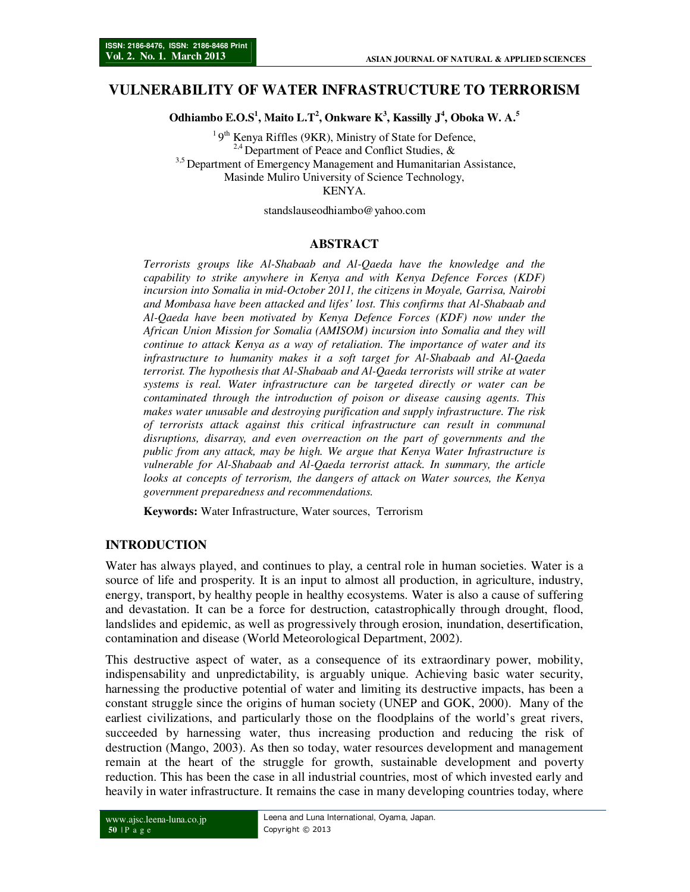# **VULNERABILITY OF WATER INFRASTRUCTURE TO TERRORISM**

**Odhiambo E.O.S<sup>1</sup> , Maito L.T<sup>2</sup> , Onkware K<sup>3</sup> , Kassilly J<sup>4</sup> , Oboka W. A.<sup>5</sup>**

<sup>1</sup>9<sup>th</sup> Kenya Riffles (9KR), Ministry of State for Defence, <sup>2,4</sup> Department of Peace and Conflict Studies,  $\&$ <sup>3,5</sup> Department of Emergency Management and Humanitarian Assistance, Masinde Muliro University of Science Technology, KENYA.

standslauseodhiambo@yahoo.com

#### **ABSTRACT**

*Terrorists groups like Al-Shabaab and Al-Qaeda have the knowledge and the capability to strike anywhere in Kenya and with Kenya Defence Forces (KDF) incursion into Somalia in mid-October 2011, the citizens in Moyale, Garrisa, Nairobi and Mombasa have been attacked and lifes' lost. This confirms that Al-Shabaab and Al-Qaeda have been motivated by Kenya Defence Forces (KDF) now under the African Union Mission for Somalia (AMISOM) incursion into Somalia and they will continue to attack Kenya as a way of retaliation. The importance of water and its infrastructure to humanity makes it a soft target for Al-Shabaab and Al-Qaeda terrorist. The hypothesis that Al-Shabaab and Al-Qaeda terrorists will strike at water systems is real. Water infrastructure can be targeted directly or water can be contaminated through the introduction of poison or disease causing agents. This makes water unusable and destroying purification and supply infrastructure. The risk of terrorists attack against this critical infrastructure can result in communal disruptions, disarray, and even overreaction on the part of governments and the public from any attack, may be high. We argue that Kenya Water Infrastructure is vulnerable for Al-Shabaab and Al-Qaeda terrorist attack. In summary, the article looks at concepts of terrorism, the dangers of attack on Water sources, the Kenya government preparedness and recommendations.*

**Keywords:** Water Infrastructure, Water sources, Terrorism

#### **INTRODUCTION**

Water has always played, and continues to play, a central role in human societies. Water is a source of life and prosperity. It is an input to almost all production, in agriculture, industry, energy, transport, by healthy people in healthy ecosystems. Water is also a cause of suffering and devastation. It can be a force for destruction, catastrophically through drought, flood, landslides and epidemic, as well as progressively through erosion, inundation, desertification, contamination and disease (World Meteorological Department, 2002).

This destructive aspect of water, as a consequence of its extraordinary power, mobility, indispensability and unpredictability, is arguably unique. Achieving basic water security, harnessing the productive potential of water and limiting its destructive impacts, has been a constant struggle since the origins of human society (UNEP and GOK, 2000). Many of the earliest civilizations, and particularly those on the floodplains of the world's great rivers, succeeded by harnessing water, thus increasing production and reducing the risk of destruction (Mango, 2003). As then so today, water resources development and management remain at the heart of the struggle for growth, sustainable development and poverty reduction. This has been the case in all industrial countries, most of which invested early and heavily in water infrastructure. It remains the case in many developing countries today, where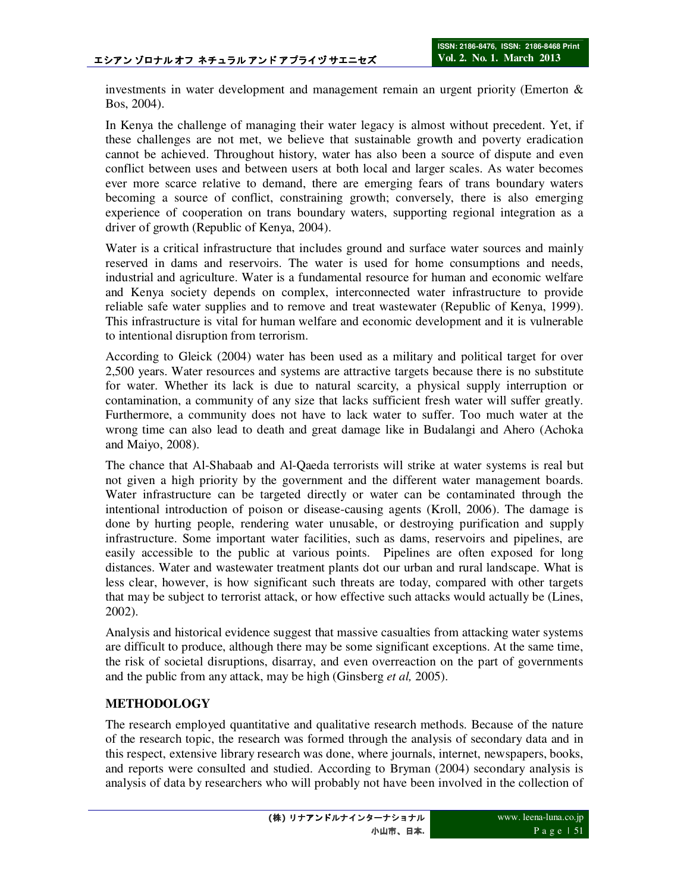investments in water development and management remain an urgent priority (Emerton & Bos, 2004).

In Kenya the challenge of managing their water legacy is almost without precedent. Yet, if these challenges are not met, we believe that sustainable growth and poverty eradication cannot be achieved. Throughout history, water has also been a source of dispute and even conflict between uses and between users at both local and larger scales. As water becomes ever more scarce relative to demand, there are emerging fears of trans boundary waters becoming a source of conflict, constraining growth; conversely, there is also emerging experience of cooperation on trans boundary waters, supporting regional integration as a driver of growth (Republic of Kenya, 2004).

Water is a critical infrastructure that includes ground and surface water sources and mainly reserved in dams and reservoirs. The water is used for home consumptions and needs, industrial and agriculture. Water is a fundamental resource for human and economic welfare and Kenya society depends on complex, interconnected water infrastructure to provide reliable safe water supplies and to remove and treat wastewater (Republic of Kenya, 1999). This infrastructure is vital for human welfare and economic development and it is vulnerable to intentional disruption from terrorism.

According to Gleick (2004) water has been used as a military and political target for over 2,500 years. Water resources and systems are attractive targets because there is no substitute for water. Whether its lack is due to natural scarcity, a physical supply interruption or contamination, a community of any size that lacks sufficient fresh water will suffer greatly. Furthermore, a community does not have to lack water to suffer. Too much water at the wrong time can also lead to death and great damage like in Budalangi and Ahero (Achoka and Maiyo, 2008).

The chance that Al-Shabaab and Al-Qaeda terrorists will strike at water systems is real but not given a high priority by the government and the different water management boards. Water infrastructure can be targeted directly or water can be contaminated through the intentional introduction of poison or disease-causing agents (Kroll, 2006). The damage is done by hurting people, rendering water unusable, or destroying purification and supply infrastructure. Some important water facilities, such as dams, reservoirs and pipelines, are easily accessible to the public at various points. Pipelines are often exposed for long distances. Water and wastewater treatment plants dot our urban and rural landscape. What is less clear, however, is how significant such threats are today, compared with other targets that may be subject to terrorist attack, or how effective such attacks would actually be (Lines, 2002).

Analysis and historical evidence suggest that massive casualties from attacking water systems are difficult to produce, although there may be some significant exceptions. At the same time, the risk of societal disruptions, disarray, and even overreaction on the part of governments and the public from any attack, may be high (Ginsberg *et al,* 2005).

# **METHODOLOGY**

The research employed quantitative and qualitative research methods. Because of the nature of the research topic, the research was formed through the analysis of secondary data and in this respect, extensive library research was done, where journals, internet, newspapers, books, and reports were consulted and studied. According to Bryman (2004) secondary analysis is analysis of data by researchers who will probably not have been involved in the collection of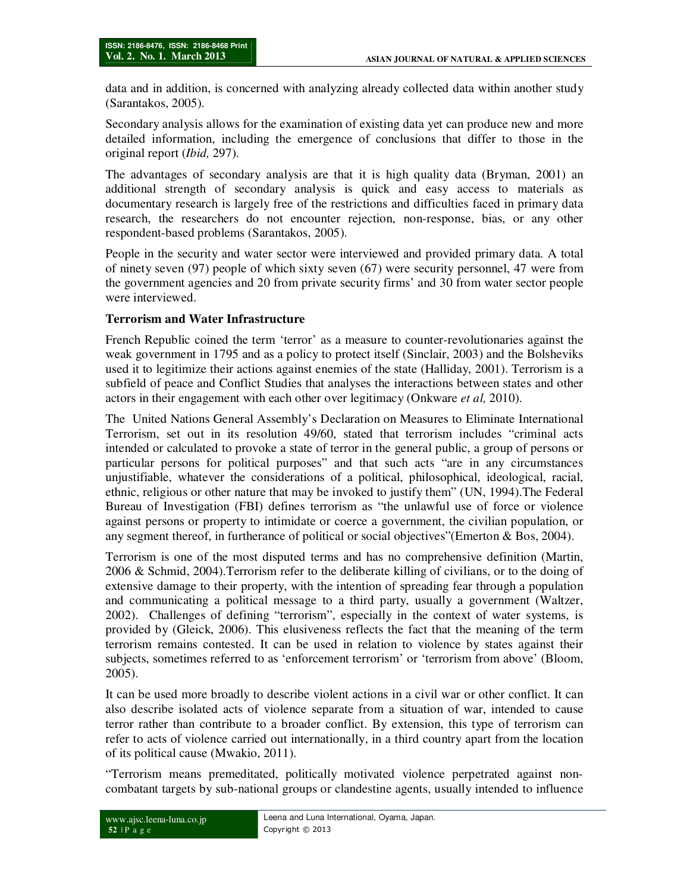data and in addition, is concerned with analyzing already collected data within another study (Sarantakos, 2005).

Secondary analysis allows for the examination of existing data yet can produce new and more detailed information, including the emergence of conclusions that differ to those in the original report (*Ibid,* 297).

The advantages of secondary analysis are that it is high quality data (Bryman, 2001) an additional strength of secondary analysis is quick and easy access to materials as documentary research is largely free of the restrictions and difficulties faced in primary data research, the researchers do not encounter rejection, non-response, bias, or any other respondent-based problems (Sarantakos, 2005).

People in the security and water sector were interviewed and provided primary data. A total of ninety seven (97) people of which sixty seven (67) were security personnel, 47 were from the government agencies and 20 from private security firms' and 30 from water sector people were interviewed.

# **Terrorism and Water Infrastructure**

French Republic coined the term 'terror' as a measure to counter-revolutionaries against the weak government in 1795 and as a policy to protect itself (Sinclair, 2003) and the Bolsheviks used it to legitimize their actions against enemies of the state (Halliday, 2001). Terrorism is a subfield of peace and Conflict Studies that analyses the interactions between states and other actors in their engagement with each other over legitimacy (Onkware *et al,* 2010).

The United Nations General Assembly's Declaration on Measures to Eliminate International Terrorism, set out in its resolution 49/60, stated that terrorism includes "criminal acts intended or calculated to provoke a state of terror in the general public, a group of persons or particular persons for political purposes" and that such acts "are in any circumstances unjustifiable, whatever the considerations of a political, philosophical, ideological, racial, ethnic, religious or other nature that may be invoked to justify them" (UN, 1994).The Federal Bureau of Investigation (FBI) defines terrorism as "the unlawful use of force or violence against persons or property to intimidate or coerce a government, the civilian population, or any segment thereof, in furtherance of political or social objectives"(Emerton & Bos, 2004).

Terrorism is one of the most disputed terms and has no comprehensive definition (Martin, 2006 & Schmid, 2004).Terrorism refer to the deliberate killing of civilians, or to the doing of extensive damage to their property, with the intention of spreading fear through a population and communicating a political message to a third party, usually a government (Waltzer, 2002). Challenges of defining "terrorism", especially in the context of water systems, is provided by (Gleick, 2006). This elusiveness reflects the fact that the meaning of the term terrorism remains contested. It can be used in relation to violence by states against their subjects, sometimes referred to as 'enforcement terrorism' or 'terrorism from above' (Bloom, 2005).

It can be used more broadly to describe violent actions in a civil war or other conflict. It can also describe isolated acts of violence separate from a situation of war, intended to cause terror rather than contribute to a broader conflict. By extension, this type of terrorism can refer to acts of violence carried out internationally, in a third country apart from the location of its political cause (Mwakio, 2011).

"Terrorism means premeditated, politically motivated violence perpetrated against noncombatant targets by sub-national groups or clandestine agents, usually intended to influence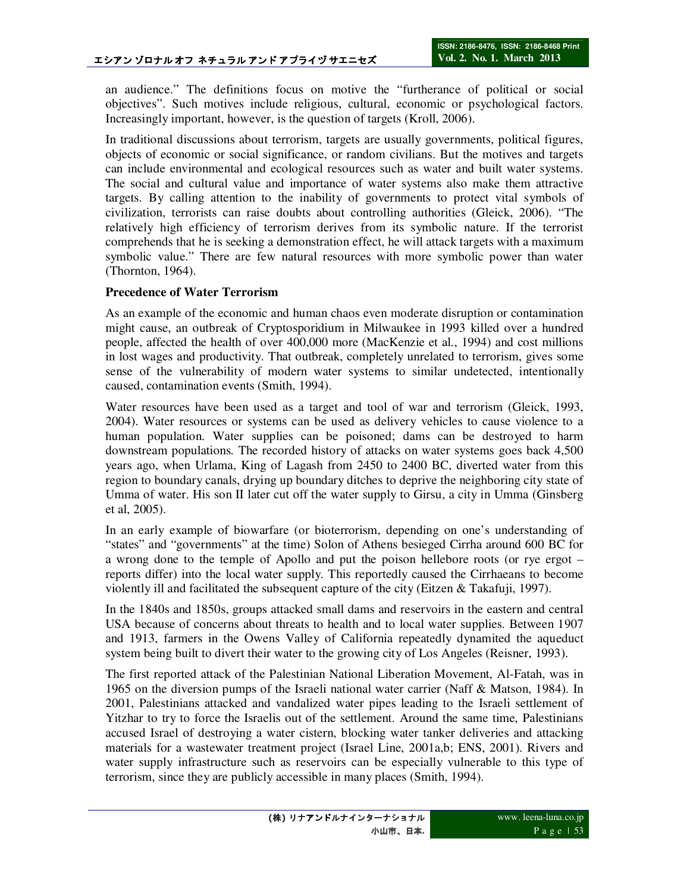an audience." The definitions focus on motive the "furtherance of political or social objectives". Such motives include religious, cultural, economic or psychological factors. Increasingly important, however, is the question of targets (Kroll, 2006).

In traditional discussions about terrorism, targets are usually governments, political figures, objects of economic or social significance, or random civilians. But the motives and targets can include environmental and ecological resources such as water and built water systems. The social and cultural value and importance of water systems also make them attractive targets. By calling attention to the inability of governments to protect vital symbols of civilization, terrorists can raise doubts about controlling authorities (Gleick, 2006). "The relatively high efficiency of terrorism derives from its symbolic nature. If the terrorist comprehends that he is seeking a demonstration effect, he will attack targets with a maximum symbolic value." There are few natural resources with more symbolic power than water (Thornton, 1964).

# **Precedence of Water Terrorism**

As an example of the economic and human chaos even moderate disruption or contamination might cause, an outbreak of Cryptosporidium in Milwaukee in 1993 killed over a hundred people, affected the health of over 400,000 more (MacKenzie et al., 1994) and cost millions in lost wages and productivity. That outbreak, completely unrelated to terrorism, gives some sense of the vulnerability of modern water systems to similar undetected, intentionally caused, contamination events (Smith, 1994).

Water resources have been used as a target and tool of war and terrorism (Gleick, 1993, 2004). Water resources or systems can be used as delivery vehicles to cause violence to a human population. Water supplies can be poisoned; dams can be destroyed to harm downstream populations. The recorded history of attacks on water systems goes back 4,500 years ago, when Urlama, King of Lagash from 2450 to 2400 BC, diverted water from this region to boundary canals, drying up boundary ditches to deprive the neighboring city state of Umma of water. His son II later cut off the water supply to Girsu, a city in Umma (Ginsberg et al, 2005).

In an early example of biowarfare (or bioterrorism, depending on one's understanding of "states" and "governments" at the time) Solon of Athens besieged Cirrha around 600 BC for a wrong done to the temple of Apollo and put the poison hellebore roots (or rye ergot – reports differ) into the local water supply. This reportedly caused the Cirrhaeans to become violently ill and facilitated the subsequent capture of the city (Eitzen & Takafuji, 1997).

In the 1840s and 1850s, groups attacked small dams and reservoirs in the eastern and central USA because of concerns about threats to health and to local water supplies. Between 1907 and 1913, farmers in the Owens Valley of California repeatedly dynamited the aqueduct system being built to divert their water to the growing city of Los Angeles (Reisner, 1993).

The first reported attack of the Palestinian National Liberation Movement, Al-Fatah, was in 1965 on the diversion pumps of the Israeli national water carrier (Naff & Matson, 1984). In 2001, Palestinians attacked and vandalized water pipes leading to the Israeli settlement of Yitzhar to try to force the Israelis out of the settlement. Around the same time, Palestinians accused Israel of destroying a water cistern, blocking water tanker deliveries and attacking materials for a wastewater treatment project (Israel Line, 2001a,b; ENS, 2001). Rivers and water supply infrastructure such as reservoirs can be especially vulnerable to this type of terrorism, since they are publicly accessible in many places (Smith, 1994).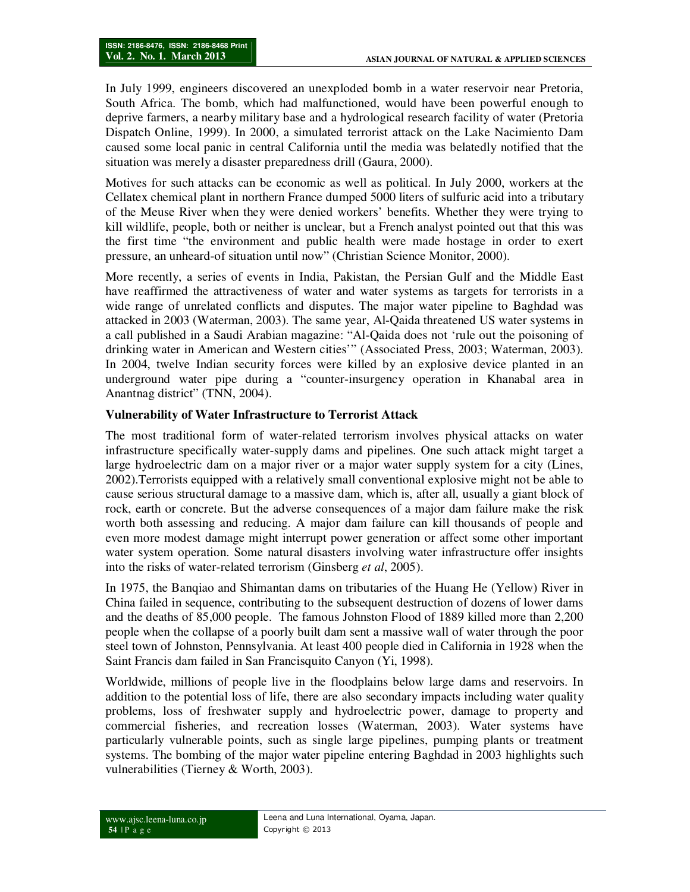In July 1999, engineers discovered an unexploded bomb in a water reservoir near Pretoria, South Africa. The bomb, which had malfunctioned, would have been powerful enough to deprive farmers, a nearby military base and a hydrological research facility of water (Pretoria Dispatch Online, 1999). In 2000, a simulated terrorist attack on the Lake Nacimiento Dam caused some local panic in central California until the media was belatedly notified that the situation was merely a disaster preparedness drill (Gaura, 2000).

Motives for such attacks can be economic as well as political. In July 2000, workers at the Cellatex chemical plant in northern France dumped 5000 liters of sulfuric acid into a tributary of the Meuse River when they were denied workers' benefits. Whether they were trying to kill wildlife, people, both or neither is unclear, but a French analyst pointed out that this was the first time "the environment and public health were made hostage in order to exert pressure, an unheard-of situation until now" (Christian Science Monitor, 2000).

More recently, a series of events in India, Pakistan, the Persian Gulf and the Middle East have reaffirmed the attractiveness of water and water systems as targets for terrorists in a wide range of unrelated conflicts and disputes. The major water pipeline to Baghdad was attacked in 2003 (Waterman, 2003). The same year, Al-Qaida threatened US water systems in a call published in a Saudi Arabian magazine: "Al-Qaida does not 'rule out the poisoning of drinking water in American and Western cities'" (Associated Press, 2003; Waterman, 2003). In 2004, twelve Indian security forces were killed by an explosive device planted in an underground water pipe during a "counter-insurgency operation in Khanabal area in Anantnag district" (TNN, 2004).

# **Vulnerability of Water Infrastructure to Terrorist Attack**

The most traditional form of water-related terrorism involves physical attacks on water infrastructure specifically water-supply dams and pipelines. One such attack might target a large hydroelectric dam on a major river or a major water supply system for a city (Lines, 2002).Terrorists equipped with a relatively small conventional explosive might not be able to cause serious structural damage to a massive dam, which is, after all, usually a giant block of rock, earth or concrete. But the adverse consequences of a major dam failure make the risk worth both assessing and reducing. A major dam failure can kill thousands of people and even more modest damage might interrupt power generation or affect some other important water system operation. Some natural disasters involving water infrastructure offer insights into the risks of water-related terrorism (Ginsberg *et al*, 2005).

In 1975, the Banqiao and Shimantan dams on tributaries of the Huang He (Yellow) River in China failed in sequence, contributing to the subsequent destruction of dozens of lower dams and the deaths of 85,000 people. The famous Johnston Flood of 1889 killed more than 2,200 people when the collapse of a poorly built dam sent a massive wall of water through the poor steel town of Johnston, Pennsylvania. At least 400 people died in California in 1928 when the Saint Francis dam failed in San Francisquito Canyon (Yi, 1998).

Worldwide, millions of people live in the floodplains below large dams and reservoirs. In addition to the potential loss of life, there are also secondary impacts including water quality problems, loss of freshwater supply and hydroelectric power, damage to property and commercial fisheries, and recreation losses (Waterman, 2003). Water systems have particularly vulnerable points, such as single large pipelines, pumping plants or treatment systems. The bombing of the major water pipeline entering Baghdad in 2003 highlights such vulnerabilities (Tierney & Worth, 2003).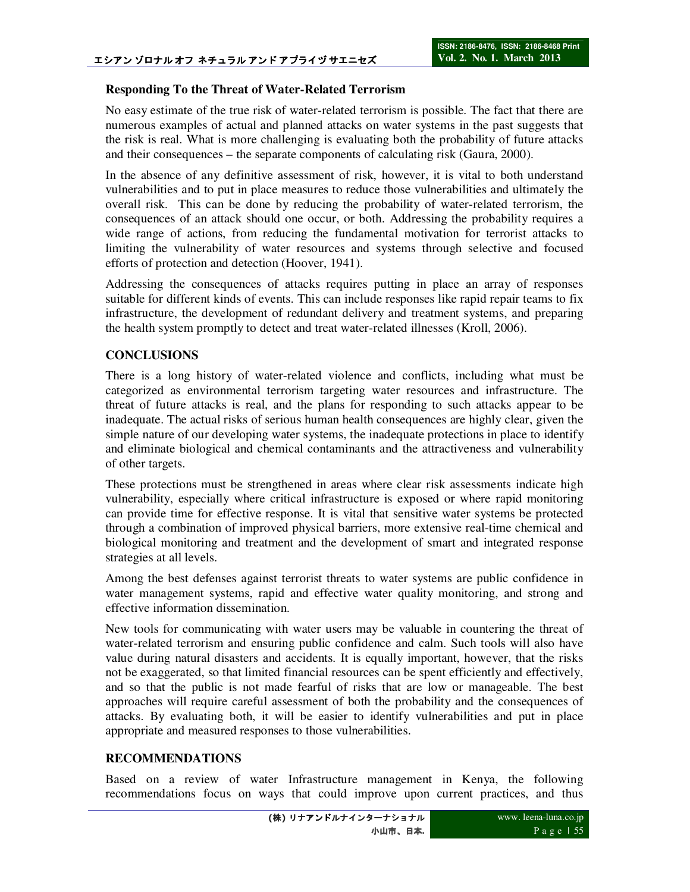# **Responding To the Threat of Water-Related Terrorism**

No easy estimate of the true risk of water-related terrorism is possible. The fact that there are numerous examples of actual and planned attacks on water systems in the past suggests that the risk is real. What is more challenging is evaluating both the probability of future attacks and their consequences – the separate components of calculating risk (Gaura, 2000).

In the absence of any definitive assessment of risk, however, it is vital to both understand vulnerabilities and to put in place measures to reduce those vulnerabilities and ultimately the overall risk. This can be done by reducing the probability of water-related terrorism, the consequences of an attack should one occur, or both. Addressing the probability requires a wide range of actions, from reducing the fundamental motivation for terrorist attacks to limiting the vulnerability of water resources and systems through selective and focused efforts of protection and detection (Hoover, 1941).

Addressing the consequences of attacks requires putting in place an array of responses suitable for different kinds of events. This can include responses like rapid repair teams to fix infrastructure, the development of redundant delivery and treatment systems, and preparing the health system promptly to detect and treat water-related illnesses (Kroll, 2006).

#### **CONCLUSIONS**

There is a long history of water-related violence and conflicts, including what must be categorized as environmental terrorism targeting water resources and infrastructure. The threat of future attacks is real, and the plans for responding to such attacks appear to be inadequate. The actual risks of serious human health consequences are highly clear, given the simple nature of our developing water systems, the inadequate protections in place to identify and eliminate biological and chemical contaminants and the attractiveness and vulnerability of other targets.

These protections must be strengthened in areas where clear risk assessments indicate high vulnerability, especially where critical infrastructure is exposed or where rapid monitoring can provide time for effective response. It is vital that sensitive water systems be protected through a combination of improved physical barriers, more extensive real-time chemical and biological monitoring and treatment and the development of smart and integrated response strategies at all levels.

Among the best defenses against terrorist threats to water systems are public confidence in water management systems, rapid and effective water quality monitoring, and strong and effective information dissemination.

New tools for communicating with water users may be valuable in countering the threat of water-related terrorism and ensuring public confidence and calm. Such tools will also have value during natural disasters and accidents. It is equally important, however, that the risks not be exaggerated, so that limited financial resources can be spent efficiently and effectively, and so that the public is not made fearful of risks that are low or manageable. The best approaches will require careful assessment of both the probability and the consequences of attacks. By evaluating both, it will be easier to identify vulnerabilities and put in place appropriate and measured responses to those vulnerabilities.

#### **RECOMMENDATIONS**

Based on a review of water Infrastructure management in Kenya, the following recommendations focus on ways that could improve upon current practices, and thus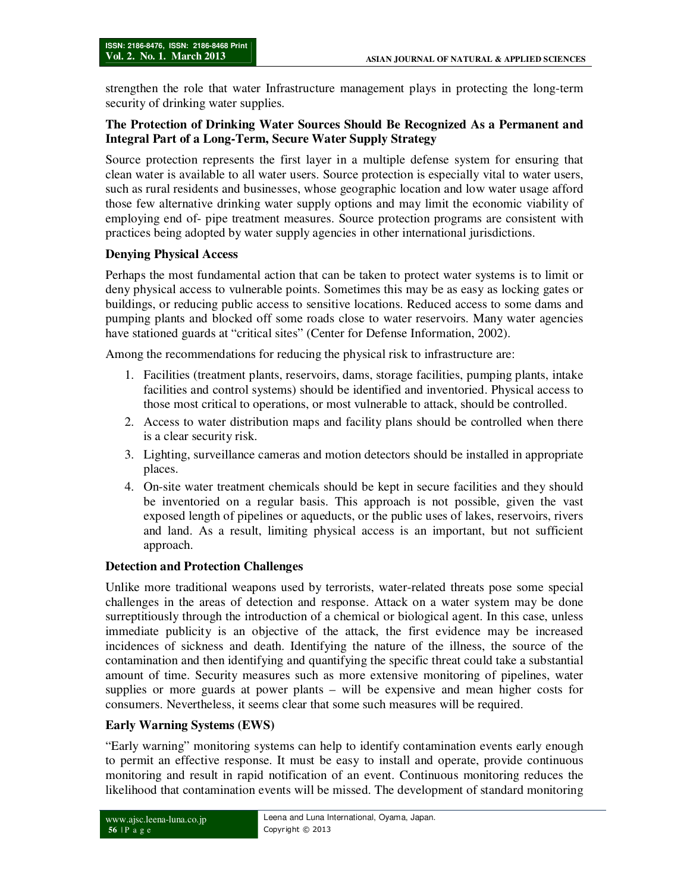strengthen the role that water Infrastructure management plays in protecting the long-term security of drinking water supplies.

# **The Protection of Drinking Water Sources Should Be Recognized As a Permanent and Integral Part of a Long-Term, Secure Water Supply Strategy**

Source protection represents the first layer in a multiple defense system for ensuring that clean water is available to all water users. Source protection is especially vital to water users, such as rural residents and businesses, whose geographic location and low water usage afford those few alternative drinking water supply options and may limit the economic viability of employing end of- pipe treatment measures. Source protection programs are consistent with practices being adopted by water supply agencies in other international jurisdictions.

# **Denying Physical Access**

Perhaps the most fundamental action that can be taken to protect water systems is to limit or deny physical access to vulnerable points. Sometimes this may be as easy as locking gates or buildings, or reducing public access to sensitive locations. Reduced access to some dams and pumping plants and blocked off some roads close to water reservoirs. Many water agencies have stationed guards at "critical sites" (Center for Defense Information, 2002).

Among the recommendations for reducing the physical risk to infrastructure are:

- 1. Facilities (treatment plants, reservoirs, dams, storage facilities, pumping plants, intake facilities and control systems) should be identified and inventoried. Physical access to those most critical to operations, or most vulnerable to attack, should be controlled.
- 2. Access to water distribution maps and facility plans should be controlled when there is a clear security risk.
- 3. Lighting, surveillance cameras and motion detectors should be installed in appropriate places.
- 4. On-site water treatment chemicals should be kept in secure facilities and they should be inventoried on a regular basis. This approach is not possible, given the vast exposed length of pipelines or aqueducts, or the public uses of lakes, reservoirs, rivers and land. As a result, limiting physical access is an important, but not sufficient approach.

#### **Detection and Protection Challenges**

Unlike more traditional weapons used by terrorists, water-related threats pose some special challenges in the areas of detection and response. Attack on a water system may be done surreptitiously through the introduction of a chemical or biological agent. In this case, unless immediate publicity is an objective of the attack, the first evidence may be increased incidences of sickness and death. Identifying the nature of the illness, the source of the contamination and then identifying and quantifying the specific threat could take a substantial amount of time. Security measures such as more extensive monitoring of pipelines, water supplies or more guards at power plants – will be expensive and mean higher costs for consumers. Nevertheless, it seems clear that some such measures will be required.

#### **Early Warning Systems (EWS)**

"Early warning" monitoring systems can help to identify contamination events early enough to permit an effective response. It must be easy to install and operate, provide continuous monitoring and result in rapid notification of an event. Continuous monitoring reduces the likelihood that contamination events will be missed. The development of standard monitoring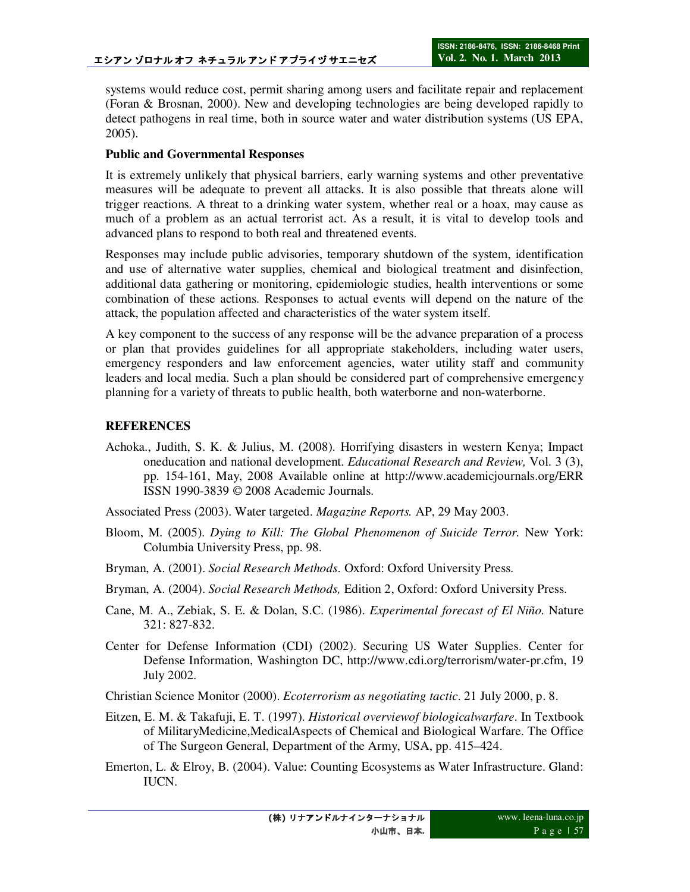systems would reduce cost, permit sharing among users and facilitate repair and replacement (Foran & Brosnan, 2000). New and developing technologies are being developed rapidly to detect pathogens in real time, both in source water and water distribution systems (US EPA, 2005).

# **Public and Governmental Responses**

It is extremely unlikely that physical barriers, early warning systems and other preventative measures will be adequate to prevent all attacks. It is also possible that threats alone will trigger reactions. A threat to a drinking water system, whether real or a hoax, may cause as much of a problem as an actual terrorist act. As a result, it is vital to develop tools and advanced plans to respond to both real and threatened events.

Responses may include public advisories, temporary shutdown of the system, identification and use of alternative water supplies, chemical and biological treatment and disinfection, additional data gathering or monitoring, epidemiologic studies, health interventions or some combination of these actions. Responses to actual events will depend on the nature of the attack, the population affected and characteristics of the water system itself.

A key component to the success of any response will be the advance preparation of a process or plan that provides guidelines for all appropriate stakeholders, including water users, emergency responders and law enforcement agencies, water utility staff and community leaders and local media. Such a plan should be considered part of comprehensive emergency planning for a variety of threats to public health, both waterborne and non-waterborne.

# **REFERENCES**

Achoka., Judith, S. K. & Julius, M. (2008). Horrifying disasters in western Kenya; Impact oneducation and national development. *Educational Research and Review,* Vol. 3 (3), pp. 154-161, May, 2008 Available online at http://www.academicjournals.org/ERR ISSN 1990-3839 © 2008 Academic Journals.

Associated Press (2003). Water targeted. *Magazine Reports.* AP, 29 May 2003.

- Bloom, M. (2005). *Dying to Kill: The Global Phenomenon of Suicide Terror*. New York: Columbia University Press, pp. 98.
- Bryman, A. (2001). *Social Research Methods*. Oxford: Oxford University Press.
- Bryman, A. (2004). *Social Research Methods,* Edition 2, Oxford: Oxford University Press.
- Cane, M. A., Zebiak, S. E. & Dolan, S.C. (1986). *Experimental forecast of El Niño.* Nature 321: 827-832.
- Center for Defense Information (CDI) (2002). Securing US Water Supplies. Center for Defense Information, Washington DC, http://www.cdi.org/terrorism/water-pr.cfm, 19 July 2002.

Christian Science Monitor (2000). *Ecoterrorism as negotiating tactic*. 21 July 2000, p. 8.

- Eitzen, E. M. & Takafuji, E. T. (1997). *Historical overviewof biologicalwarfare*. In Textbook of MilitaryMedicine,MedicalAspects of Chemical and Biological Warfare. The Office of The Surgeon General, Department of the Army, USA, pp. 415–424.
- Emerton, L. & Elroy, B. (2004). Value: Counting Ecosystems as Water Infrastructure. Gland: IUCN.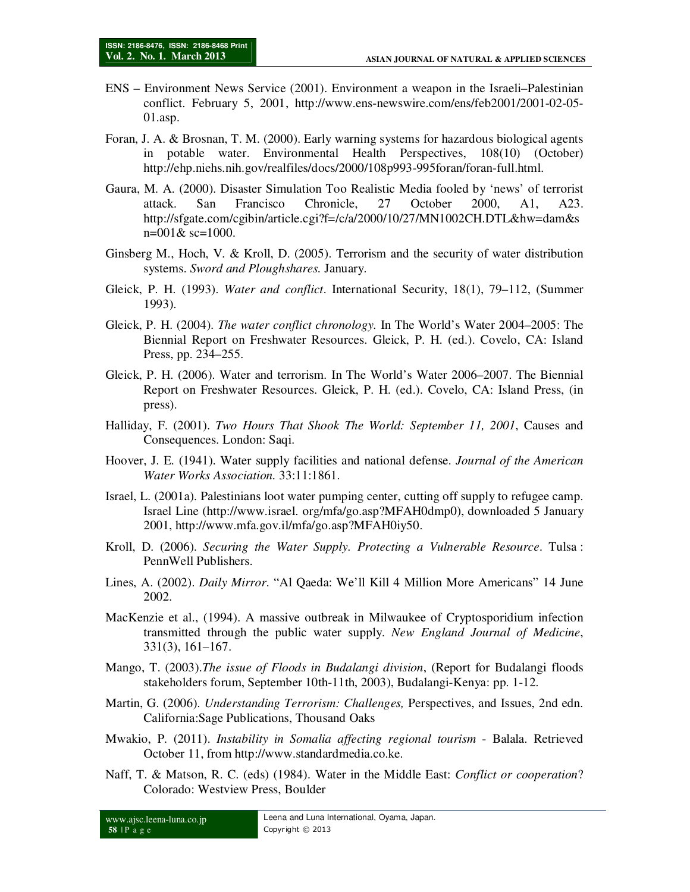- ENS Environment News Service (2001). Environment a weapon in the Israeli–Palestinian conflict. February 5, 2001, http://www.ens-newswire.com/ens/feb2001/2001-02-05- 01.asp.
- Foran, J. A. & Brosnan, T. M. (2000). Early warning systems for hazardous biological agents in potable water. Environmental Health Perspectives, 108(10) (October) http://ehp.niehs.nih.gov/realfiles/docs/2000/108p993-995foran/foran-full.html.
- Gaura, M. A. (2000). Disaster Simulation Too Realistic Media fooled by 'news' of terrorist attack. San Francisco Chronicle, 27 October 2000, A1, A23. http://sfgate.com/cgibin/article.cgi?f=/c/a/2000/10/27/MN1002CH.DTL&hw=dam&s  $n=001\&$  sc=1000.
- Ginsberg M., Hoch, V. & Kroll, D. (2005). Terrorism and the security of water distribution systems. *Sword and Ploughshares.* January.
- Gleick, P. H. (1993). *Water and conflict*. International Security, 18(1), 79–112, (Summer 1993).
- Gleick, P. H. (2004). *The water conflict chronology.* In The World's Water 2004–2005: The Biennial Report on Freshwater Resources. Gleick, P. H. (ed.). Covelo, CA: Island Press, pp. 234–255.
- Gleick, P. H. (2006). Water and terrorism. In The World's Water 2006–2007. The Biennial Report on Freshwater Resources. Gleick, P. H. (ed.). Covelo, CA: Island Press, (in press).
- Halliday, F. (2001). *Two Hours That Shook The World: September 11, 2001*, Causes and Consequences. London: Saqi.
- Hoover, J. E. (1941). Water supply facilities and national defense. *Journal of the American Water Works Association.* 33:11:1861.
- Israel, L. (2001a). Palestinians loot water pumping center, cutting off supply to refugee camp. Israel Line (http://www.israel. org/mfa/go.asp?MFAH0dmp0), downloaded 5 January 2001, http://www.mfa.gov.il/mfa/go.asp?MFAH0iy50.
- Kroll, D. (2006). *Securing the Water Supply. Protecting a Vulnerable Resource*. Tulsa : PennWell Publishers.
- Lines, A. (2002). *Daily Mirror*. "Al Qaeda: We'll Kill 4 Million More Americans" 14 June 2002.
- MacKenzie et al., (1994). A massive outbreak in Milwaukee of Cryptosporidium infection transmitted through the public water supply. *New England Journal of Medicine*, 331(3), 161–167.
- Mango, T. (2003).*The issue of Floods in Budalangi division*, (Report for Budalangi floods stakeholders forum, September 10th-11th, 2003), Budalangi-Kenya: pp. 1-12.
- Martin, G. (2006). *Understanding Terrorism: Challenges,* Perspectives, and Issues, 2nd edn. California:Sage Publications, Thousand Oaks
- Mwakio, P. (2011). *Instability in Somalia affecting regional tourism* Balala. Retrieved October 11, from http://www.standardmedia.co.ke.
- Naff, T. & Matson, R. C. (eds) (1984). Water in the Middle East: *Conflict or cooperation*? Colorado: Westview Press, Boulder